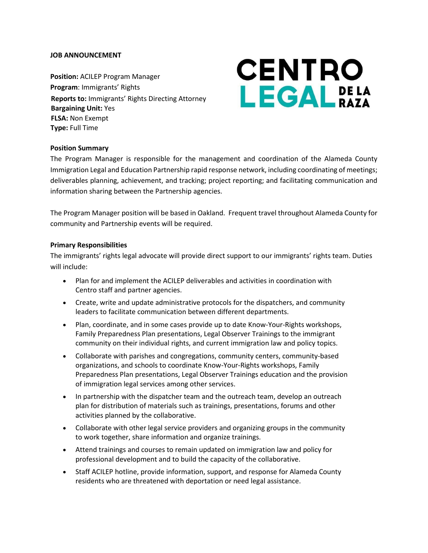## **JOB ANNOUNCEMENT**

**Position:** ACILEP Program Manager **Program**: Immigrants' Rights **Reports to:** Immigrants' Rights Directing Attorney **Bargaining Unit:** Yes **FLSA:** Non Exempt **Type:** Full Time

# **CENTRO** LEGAL DELA

## **Position Summary**

The Program Manager is responsible for the management and coordination of the Alameda County Immigration Legal and Education Partnership rapid response network, including coordinating of meetings; deliverables planning, achievement, and tracking; project reporting; and facilitating communication and information sharing between the Partnership agencies.

The Program Manager position will be based in Oakland. Frequent travel throughout Alameda County for community and Partnership events will be required.

#### **Primary Responsibilities**

The immigrants' rights legal advocate will provide direct support to our immigrants' rights team. Duties will include:

- Plan for and implement the ACILEP deliverables and activities in coordination with Centro staff and partner agencies.
- Create, write and update administrative protocols for the dispatchers, and community leaders to facilitate communication between different departments.
- Plan, coordinate, and in some cases provide up to date Know-Your-Rights workshops, Family Preparedness Plan presentations, Legal Observer Trainings to the immigrant community on their individual rights, and current immigration law and policy topics.
- Collaborate with parishes and congregations, community centers, community-based organizations, and schools to coordinate Know-Your-Rights workshops, Family Preparedness Plan presentations, Legal Observer Trainings education and the provision of immigration legal services among other services.
- In partnership with the dispatcher team and the outreach team, develop an outreach plan for distribution of materials such as trainings, presentations, forums and other activities planned by the collaborative.
- Collaborate with other legal service providers and organizing groups in the community to work together, share information and organize trainings.
- Attend trainings and courses to remain updated on immigration law and policy for professional development and to build the capacity of the collaborative.
- Staff ACILEP hotline, provide information, support, and response for Alameda County residents who are threatened with deportation or need legal assistance.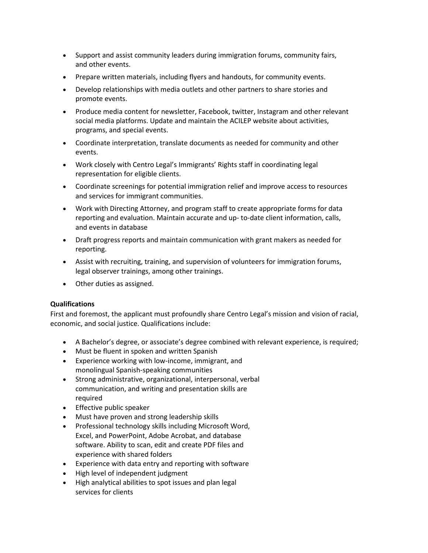- Support and assist community leaders during immigration forums, community fairs, and other events.
- Prepare written materials, including flyers and handouts, for community events.
- Develop relationships with media outlets and other partners to share stories and promote events.
- Produce media content for newsletter, Facebook, twitter, Instagram and other relevant social media platforms. Update and maintain the ACILEP website about activities, programs, and special events.
- Coordinate interpretation, translate documents as needed for community and other events.
- Work closely with Centro Legal's Immigrants' Rights staff in coordinating legal representation for eligible clients.
- Coordinate screenings for potential immigration relief and improve access to resources and services for immigrant communities.
- Work with Directing Attorney, and program staff to create appropriate forms for data reporting and evaluation. Maintain accurate and up- to-date client information, calls, and events in database
- Draft progress reports and maintain communication with grant makers as needed for reporting.
- Assist with recruiting, training, and supervision of volunteers for immigration forums, legal observer trainings, among other trainings.
- Other duties as assigned.

## **Qualifications**

First and foremost, the applicant must profoundly share Centro Legal's mission and vision of racial, economic, and social justice. Qualifications include:

- A Bachelor's degree, or associate's degree combined with relevant experience, is required;
- Must be fluent in spoken and written Spanish
- Experience working with low-income, immigrant, and monolingual Spanish-speaking communities
- Strong administrative, organizational, interpersonal, verbal communication, and writing and presentation skills are required
- Effective public speaker
- Must have proven and strong leadership skills
- Professional technology skills including Microsoft Word, Excel, and PowerPoint, Adobe Acrobat, and database software. Ability to scan, edit and create PDF files and experience with shared folders
- Experience with data entry and reporting with software
- High level of independent judgment
- High analytical abilities to spot issues and plan legal services for clients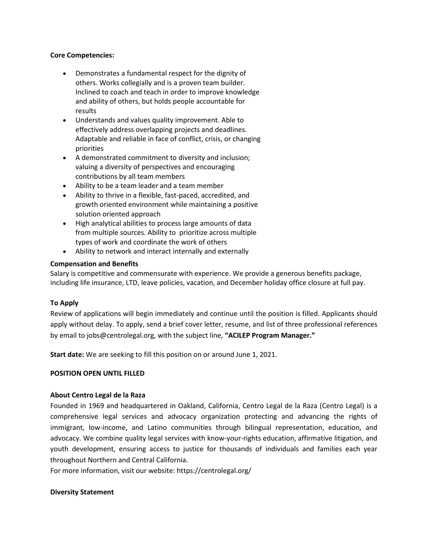#### **Core Competencies:**

- Demonstrates a fundamental respect for the dignity of others. Works collegially and is a proven team builder. Inclined to coach and teach in order to improve knowledge and ability of others, but holds people accountable for results
- Understands and values quality improvement. Able to effectively address overlapping projects and deadlines. Adaptable and reliable in face of conflict, crisis, or changing priorities
- A demonstrated commitment to diversity and inclusion; valuing a diversity of perspectives and encouraging contributions by all team members
- Ability to be a team leader and a team member
- Ability to thrive in a flexible, fast-paced, accredited, and growth oriented environment while maintaining a positive solution oriented approach
- High analytical abilities to process large amounts of data from multiple sources. Ability to prioritize across multiple types of work and coordinate the work of others
- Ability to network and interact internally and externally

## **Compensation and Benefits**

Salary is competitive and commensurate with experience. We provide a generous benefits package, including life insurance, LTD, leave policies, vacation, and December holiday office closure at full pay.

## **To Apply**

Review of applications will begin immediately and continue until the position is filled. Applicants should apply without delay. To apply, send a brief cover letter, resume, and list of three professional references by email to jobs@centrolegal.org, with the subject line, **"ACILEP Program Manager."**

**Start date:** We are seeking to fill this position on or around June 1, 2021.

## **POSITION OPEN UNTIL FILLED**

## **About Centro Legal de la Raza**

Founded in 1969 and headquartered in Oakland, California, Centro Legal de la Raza (Centro Legal) is a comprehensive legal services and advocacy organization protecting and advancing the rights of immigrant, low-income, and Latino communities through bilingual representation, education, and advocacy. We combine quality legal services with know-your-rights education, affirmative litigation, and youth development, ensuring access to justice for thousands of individuals and families each year throughout Northern and Central California.

For more information, visit our website:<https://centrolegal.org/>

## **Diversity Statement**